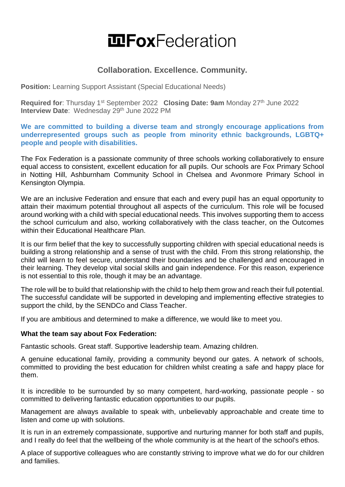# **IDFoxFederation**

## **Collaboration. Excellence. Community.**

**Position:** Learning Support Assistant (Special Educational Needs)

**Required for**: Thursday 1st September 2022 **Closing Date: 9am** Monday 27th June 2022 **Interview Date: Wednesday 29th June 2022 PM** 

**We are committed to building a diverse team and strongly encourage applications from underrepresented groups such as people from minority ethnic backgrounds, LGBTQ+ people and people with disabilities.** 

The Fox Federation is a passionate community of three schools working collaboratively to ensure equal access to consistent, excellent education for all pupils. Our schools are Fox Primary School in Notting Hill, Ashburnham Community School in Chelsea and Avonmore Primary School in Kensington Olympia.

We are an inclusive Federation and ensure that each and every pupil has an equal opportunity to attain their maximum potential throughout all aspects of the curriculum. This role will be focused around working with a child with special educational needs. This involves supporting them to access the school curriculum and also, working collaboratively with the class teacher, on the Outcomes within their Educational Healthcare Plan.

It is our firm belief that the key to successfully supporting children with special educational needs is building a strong relationship and a sense of trust with the child. From this strong relationship, the child will learn to feel secure, understand their boundaries and be challenged and encouraged in their learning. They develop vital social skills and gain independence. For this reason, experience is not essential to this role, though it may be an advantage.

The role will be to build that relationship with the child to help them grow and reach their full potential. The successful candidate will be supported in developing and implementing effective strategies to support the child, by the SENDCo and Class Teacher.

If you are ambitious and determined to make a difference, we would like to meet you.

#### **What the team say about Fox Federation:**

Fantastic schools. Great staff. Supportive leadership team. Amazing children.

A genuine educational family, providing a community beyond our gates. A network of schools, committed to providing the best education for children whilst creating a safe and happy place for them.

It is incredible to be surrounded by so many competent, hard-working, passionate people - so committed to delivering fantastic education opportunities to our pupils.

Management are always available to speak with, unbelievably approachable and create time to listen and come up with solutions.

It is run in an extremely compassionate, supportive and nurturing manner for both staff and pupils, and I really do feel that the wellbeing of the whole community is at the heart of the school's ethos.

A place of supportive colleagues who are constantly striving to improve what we do for our children and families.